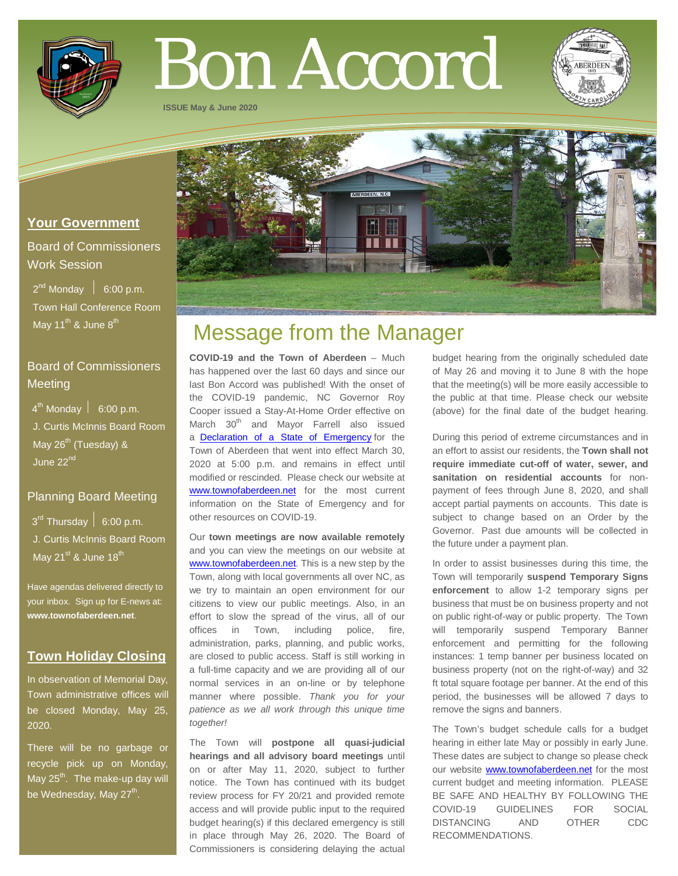

# Bon Accord

**ISSUE May & June 2020**



# **Your Government**

Board of Commissioners Work Session

 $2^{nd}$  Monday  $\left| 6:00 \text{ p.m.} \right|$  Town Hall Conference Room May 11<sup>th</sup> & June  $8^{th}$ 

# Board of Commissioners **Meeting**

 $4^{\text{th}}$  Monday  $\vert$  6:00 p.m. J. Curtis McInnis Board Room May  $26^{th}$  (Tuesday) & June 22<sup>nd</sup>

## Planning Board Meeting

 $3^{\text{rd}}$  Thursday  $6:00$  p.m.

 J. Curtis McInnis Board Room May  $21^{st}$  & June  $18^{th}$ 

Have agendas delivered directly to your inbox. Sign up for E-news at: **[www.townofaberdeen.net](http://www.townofaberdeen.net/)**.

# **Town Holiday Closing**

In observation of Memorial Day, Town administrative offices will be closed Monday, May 25, 2020.

There will be no garbage or recycle pick up on Monday, May  $25<sup>th</sup>$ . The make-up day will be Wednesday, May 27<sup>th</sup>.

# Message from the Manager

**COVID-19 and the Town of Aberdeen** – Much has happened over the last 60 days and since our last Bon Accord was published! With the onset of the COVID-19 pandemic, NC Governor Roy Cooper issued a Stay-At-Home Order effective on March 30<sup>th</sup> and Mayor Farrell also issued a [Declaration of a State of Emergency](https://www.townofaberdeen.net/docview.aspx?docid=28610) for the Town of Aberdeen that went into effect March 30, 2020 at 5:00 p.m. and remains in effect until modified or rescinded. Please check our website at [www.townofaberdeen.net](http://www.townofaberdeen.net/) for the most current information on the State of Emergency and for other resources on COVID-19.

Our **town meetings are now available remotely** and you can view the meetings on our website at [www.townofaberdeen.net.](http://www.townofaberdeen.net/) This is a new step by the Town, along with local governments all over NC, as we try to maintain an open environment for our citizens to view our public meetings. Also, in an effort to slow the spread of the virus, all of our offices in Town, including police, fire, administration, parks, planning, and public works, are closed to public access. Staff is still working in a full-time capacity and we are providing all of our normal services in an on-line or by telephone manner where possible. *Thank you for your patience as we all work through this unique time together!*

The Town will **postpone all quasi-judicial hearings and all advisory board meetings** until on or after May 11, 2020, subject to further notice. The Town has continued with its budget review process for FY 20/21 and provided remote access and will provide public input to the required budget hearing(s) if this declared emergency is still in place through May 26, 2020. The Board of Commissioners is considering delaying the actual budget hearing from the originally scheduled date of May 26 and moving it to June 8 with the hope that the meeting(s) will be more easily accessible to the public at that time. Please check our website (above) for the final date of the budget hearing.

During this period of extreme circumstances and in an effort to assist our residents, the **Town shall not require immediate cut-off of water, sewer, and sanitation on residential accounts** for nonpayment of fees through June 8, 2020, and shall accept partial payments on accounts. This date is subject to change based on an Order by the Governor. Past due amounts will be collected in the future under a payment plan.

In order to assist businesses during this time, the Town will temporarily **suspend Temporary Signs enforcement** to allow 1-2 temporary signs per business that must be on business property and not on public right-of-way or public property. The Town will temporarily suspend Temporary Banner enforcement and permitting for the following instances: 1 temp banner per business located on business property (not on the right-of-way) and 32 ft total square footage per banner. At the end of this period, the businesses will be allowed 7 days to remove the signs and banners.

The Town's budget schedule calls for a budget hearing in either late May or possibly in early June. These dates are subject to change so please check our website [www.townofaberdeen.net](http://www.townofaberdeen.net/) for the most current budget and meeting information. PLEASE BE SAFE AND HEALTHY BY FOLLOWING THE COVID-19 GUIDELINES FOR SOCIAL DISTANCING AND OTHER CDC RECOMMENDATIONS.